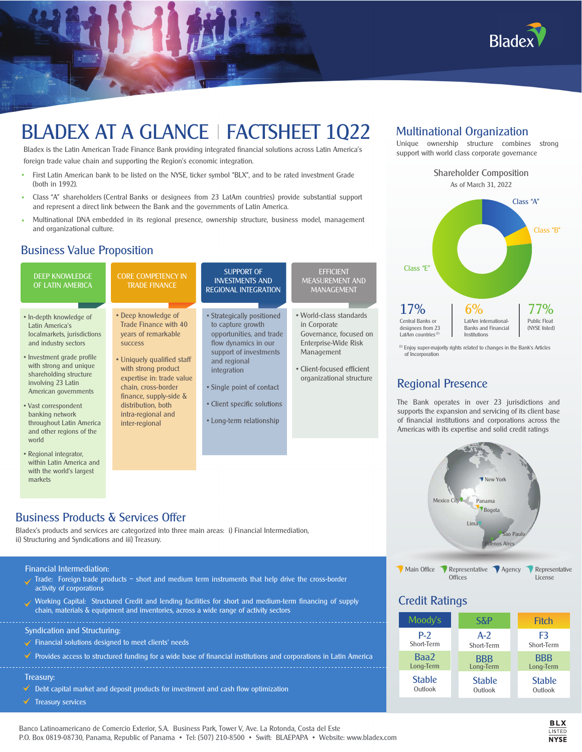

# BLADEX AT A GLANCE | FACTSHEET 1Q22

Bladex is the Latin American Trade Finance Bank providing integrated financial solutions across Latin America's foreign trade value chain and supporting the Region's economic integration.

- First Latin American bank to be listed on the NYSE, ticker symbol "BLX", and to be rated investment Grade (both in 1992).
- Class "A" shareholders (Central Banks or designees from 23 LatAm countries) provide substantial support and represent a direct link between the Bank and the governments of Latin America.
- Multinational DNA embedded in its regional presence, ownership structure, business model, management and organizational culture.

#### Business Value Proposition



# Multinational Organization

Unique ownership structure combines strong support with world class corporate governance



(1) Enjoy super-majority rights related to changes in the Bank's Articles of Incorporation

# Regional Presence

The Bank operates in over 23 jurisdictions and supports the expansion and servicing of its client base of financial institutions and corporations across the Americas with its expertise and solid credit ratings



Main Office Representative Agency Representative **Offices** License

#### Credit Ratings



Syndication and Structuring:

activity of corporations

- $\checkmark$  Financial solutions designed to meet clients' needs
- Provides access to structured funding for a wide base of financial institutions and corporations in Latin America

Working Capital: Structured Credit and lending facilities for short and medium-term financing of supply

#### Treasury:

 $\checkmark$ 

 $\checkmark$  Debt capital market and deposit products for investment and cash flow optimization

chain, materials & equipment and inventories, across a wide range of activity sectors

Treasury services